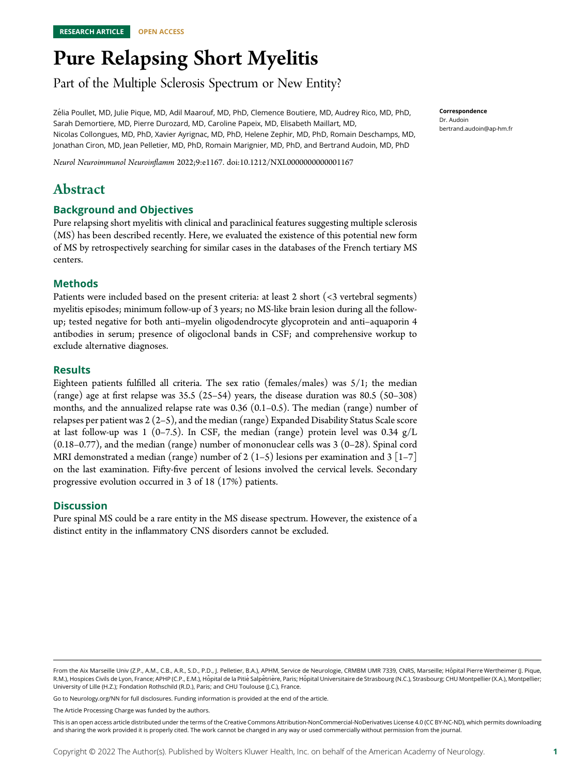# Pure Relapsing Short Myelitis

Part of the Multiple Sclerosis Spectrum or New Entity?

Z´elia Poullet, MD, Julie Pique, MD, Adil Maarouf, MD, PhD, Clemence Boutiere, MD, Audrey Rico, MD, PhD, Sarah Demortiere, MD, Pierre Durozard, MD, Caroline Papeix, MD, Elisabeth Maillart, MD, Nicolas Collongues, MD, PhD, Xavier Ayrignac, MD, PhD, Helene Zephir, MD, PhD, Romain Deschamps, MD, Jonathan Ciron, MD, Jean Pelletier, MD, PhD, Romain Marignier, MD, PhD, and Bertrand Audoin, MD, PhD

Neurol Neuroimmunol Neuroinflamm 2022;9:e1167. doi[:10.1212/NXI.0000000000001167](http://dx.doi.org/10.1212/NXI.0000000000001167)

# Abstract

### Background and Objectives

Pure relapsing short myelitis with clinical and paraclinical features suggesting multiple sclerosis (MS) has been described recently. Here, we evaluated the existence of this potential new form of MS by retrospectively searching for similar cases in the databases of the French tertiary MS centers.

### Methods

Patients were included based on the present criteria: at least 2 short (<3 vertebral segments) myelitis episodes; minimum follow-up of 3 years; no MS-like brain lesion during all the followup; tested negative for both anti–myelin oligodendrocyte glycoprotein and anti–aquaporin 4 antibodies in serum; presence of oligoclonal bands in CSF; and comprehensive workup to exclude alternative diagnoses.

### Results

Eighteen patients fulfilled all criteria. The sex ratio (females/males) was  $5/1$ ; the median (range) age at first relapse was 35.5 (25–54) years, the disease duration was 80.5 (50–308) months, and the annualized relapse rate was  $0.36$   $(0.1-0.5)$ . The median (range) number of relapses per patient was 2 (2–5), and the median (range) Expanded Disability Status Scale score at last follow-up was 1 (0–7.5). In CSF, the median (range) protein level was  $0.34 \text{ g/L}$  $(0.18-0.77)$ , and the median (range) number of mononuclear cells was  $3(0-28)$ . Spinal cord MRI demonstrated a median (range) number of 2 (1–5) lesions per examination and 3 [1–7] on the last examination. Fifty-five percent of lesions involved the cervical levels. Secondary progressive evolution occurred in 3 of 18 (17%) patients.

### **Discussion**

Pure spinal MS could be a rare entity in the MS disease spectrum. However, the existence of a distinct entity in the inflammatory CNS disorders cannot be excluded.

Go to [Neurology.org/NN](https://nn.neurology.org/content/9/4/e167/tab-article-info) for full disclosures. Funding information is provided at the end of the article.

The Article Processing Charge was funded by the authors.

From the Aix Marseille Univ (Z.P., A.M., C.B., A.R., S.D., P.D., J. Pelletier, B.A.), APHM, Service de Neurologie, CRMBM UMR 7339, CNRS, Marseille; Hôpital Pierre Wertheimer (J. Pique, R.M.), Hospices Civils de Lyon, France; APHP (C.P., E.M.), Hôpital de la Pitié Salpêtrière, Paris; Hôpital Universitaire de Strasbourg (N.C.), Strasbourg; CHU Montpellier (X.A.), Montpellier; University of Lille (H.Z.); Fondation Rothschild (R.D.), Paris; and CHU Toulouse (J.C.), France.

This is an open access article distributed under the terms of the [Creative Commons Attribution-NonCommercial-NoDerivatives License 4.0 \(CC BY-NC-ND\),](http://creativecommons.org/licenses/by-nc-nd/4.0/) which permits downloading and sharing the work provided it is properly cited. The work cannot be changed in any way or used commercially without permission from the journal.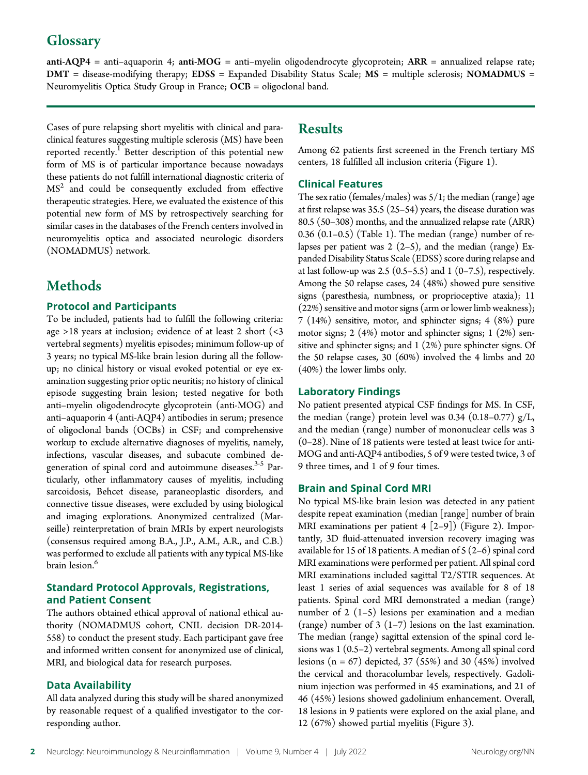# **Glossary**

anti-AQP4 = anti–aquaporin 4; anti-MOG = anti–myelin oligodendrocyte glycoprotein; ARR = annualized relapse rate; DMT = disease-modifying therapy; EDSS = Expanded Disability Status Scale; MS = multiple sclerosis; NOMADMUS = Neuromyelitis Optica Study Group in France; OCB = oligoclonal band.

Cases of pure relapsing short myelitis with clinical and paraclinical features suggesting multiple sclerosis (MS) have been reported recently.<sup>1</sup> Better description of this potential new form of MS is of particular importance because nowadays these patients do not fulfill international diagnostic criteria of  $MS<sup>2</sup>$  and could be consequently excluded from effective therapeutic strategies. Here, we evaluated the existence of this potential new form of MS by retrospectively searching for similar cases in the databases of the French centers involved in neuromyelitis optica and associated neurologic disorders (NOMADMUS) network.

# Methods

### Protocol and Participants

To be included, patients had to fulfill the following criteria: age >18 years at inclusion; evidence of at least 2 short (<3 vertebral segments) myelitis episodes; minimum follow-up of 3 years; no typical MS-like brain lesion during all the followup; no clinical history or visual evoked potential or eye examination suggesting prior optic neuritis; no history of clinical episode suggesting brain lesion; tested negative for both anti–myelin oligodendrocyte glycoprotein (anti-MOG) and anti–aquaporin 4 (anti-AQP4) antibodies in serum; presence of oligoclonal bands (OCBs) in CSF; and comprehensive workup to exclude alternative diagnoses of myelitis, namely, infections, vascular diseases, and subacute combined degeneration of spinal cord and autoimmune diseases.<sup>3-5</sup> Particularly, other inflammatory causes of myelitis, including sarcoidosis, Behcet disease, paraneoplastic disorders, and connective tissue diseases, were excluded by using biological and imaging explorations. Anonymized centralized (Marseille) reinterpretation of brain MRIs by expert neurologists (consensus required among B.A., J.P., A.M., A.R., and C.B.) was performed to exclude all patients with any typical MS-like brain lesion.<sup>6</sup>

### Standard Protocol Approvals, Registrations, and Patient Consent

The authors obtained ethical approval of national ethical authority (NOMADMUS cohort, CNIL decision DR-2014- 558) to conduct the present study. Each participant gave free and informed written consent for anonymized use of clinical, MRI, and biological data for research purposes.

### Data Availability

All data analyzed during this study will be shared anonymized by reasonable request of a qualified investigator to the corresponding author.

## Results

Among 62 patients first screened in the French tertiary MS centers, 18 fulfilled all inclusion criteria (Figure 1).

### Clinical Features

The sex ratio (females/males) was  $5/1$ ; the median (range) age at first relapse was 35.5 (25–54) years, the disease duration was 80.5 (50–308) months, and the annualized relapse rate (ARR)  $0.36$   $(0.1-0.5)$   $(Table 1)$ . The median  $(range)$  number of relapses per patient was  $2(2-5)$ , and the median (range) Expanded Disability Status Scale (EDSS) score during relapse and at last follow-up was 2.5  $(0.5-5.5)$  and 1  $(0-7.5)$ , respectively. Among the 50 relapse cases, 24 (48%) showed pure sensitive signs (paresthesia, numbness, or proprioceptive ataxia); 11 (22%) sensitive and motor signs (arm or lower limb weakness); 7 (14%) sensitive, motor, and sphincter signs; 4 (8%) pure motor signs; 2 (4%) motor and sphincter signs; 1 (2%) sensitive and sphincter signs; and 1 (2%) pure sphincter signs. Of the 50 relapse cases, 30 (60%) involved the 4 limbs and 20 (40%) the lower limbs only.

### Laboratory Findings

No patient presented atypical CSF findings for MS. In CSF, the median (range) protein level was 0.34  $(0.18-0.77)$  g/L, and the median (range) number of mononuclear cells was 3 (0–28). Nine of 18 patients were tested at least twice for anti-MOG and anti-AQP4 antibodies, 5 of 9 were tested twice, 3 of 9 three times, and 1 of 9 four times.

### Brain and Spinal Cord MRI

No typical MS-like brain lesion was detected in any patient despite repeat examination (median [range] number of brain MRI examinations per patient  $4 [2-9]$ ) (Figure 2). Importantly, 3D fluid-attenuated inversion recovery imaging was available for 15 of 18 patients. A median of 5 (2–6) spinal cord MRI examinations were performed per patient. All spinal cord MRI examinations included sagittal T2/STIR sequences. At least 1 series of axial sequences was available for 8 of 18 patients. Spinal cord MRI demonstrated a median (range) number of 2 (1–5) lesions per examination and a median (range) number of  $3(1-7)$  lesions on the last examination. The median (range) sagittal extension of the spinal cord lesions was 1 (0.5–2) vertebral segments. Among all spinal cord lesions  $(n = 67)$  depicted, 37 (55%) and 30 (45%) involved the cervical and thoracolumbar levels, respectively. Gadolinium injection was performed in 45 examinations, and 21 of 46 (45%) lesions showed gadolinium enhancement. Overall, 18 lesions in 9 patients were explored on the axial plane, and 12 (67%) showed partial myelitis (Figure 3).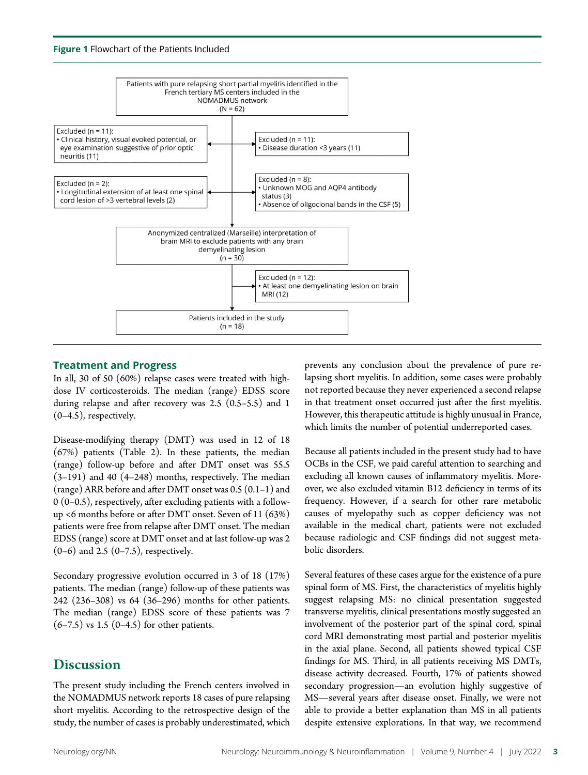

### Treatment and Progress

In all, 30 of 50 (60%) relapse cases were treated with highdose IV corticosteroids. The median (range) EDSS score during relapse and after recovery was 2.5 (0.5–5.5) and 1 (0–4.5), respectively.

Disease-modifying therapy (DMT) was used in 12 of 18 (67%) patients (Table 2). In these patients, the median (range) follow-up before and after DMT onset was 55.5 (3–191) and 40 (4–248) months, respectively. The median (range) ARR before and after DMT onset was 0.5 (0.1–1) and 0 (0–0.5), respectively, after excluding patients with a followup <6 months before or after DMT onset. Seven of 11 (63%) patients were free from relapse after DMT onset. The median EDSS (range) score at DMT onset and at last follow-up was 2 (0–6) and 2.5 (0–7.5), respectively.

Secondary progressive evolution occurred in 3 of 18 (17%) patients. The median (range) follow-up of these patients was 242 (236–308) vs 64 (36–296) months for other patients. The median (range) EDSS score of these patients was 7  $(6-7.5)$  vs 1.5  $(0-4.5)$  for other patients.

# **Discussion**

The present study including the French centers involved in the NOMADMUS network reports 18 cases of pure relapsing short myelitis. According to the retrospective design of the study, the number of cases is probably underestimated, which

prevents any conclusion about the prevalence of pure relapsing short myelitis. In addition, some cases were probably not reported because they never experienced a second relapse in that treatment onset occurred just after the first myelitis. However, this therapeutic attitude is highly unusual in France, which limits the number of potential underreported cases.

Because all patients included in the present study had to have OCBs in the CSF, we paid careful attention to searching and excluding all known causes of inflammatory myelitis. Moreover, we also excluded vitamin B12 deficiency in terms of its frequency. However, if a search for other rare metabolic causes of myelopathy such as copper deficiency was not available in the medical chart, patients were not excluded because radiologic and CSF findings did not suggest metabolic disorders.

Several features of these cases argue for the existence of a pure spinal form of MS. First, the characteristics of myelitis highly suggest relapsing MS: no clinical presentation suggested transverse myelitis, clinical presentations mostly suggested an involvement of the posterior part of the spinal cord, spinal cord MRI demonstrating most partial and posterior myelitis in the axial plane. Second, all patients showed typical CSF findings for MS. Third, in all patients receiving MS DMTs, disease activity decreased. Fourth, 17% of patients showed secondary progression—an evolution highly suggestive of MS—several years after disease onset. Finally, we were not able to provide a better explanation than MS in all patients despite extensive explorations. In that way, we recommend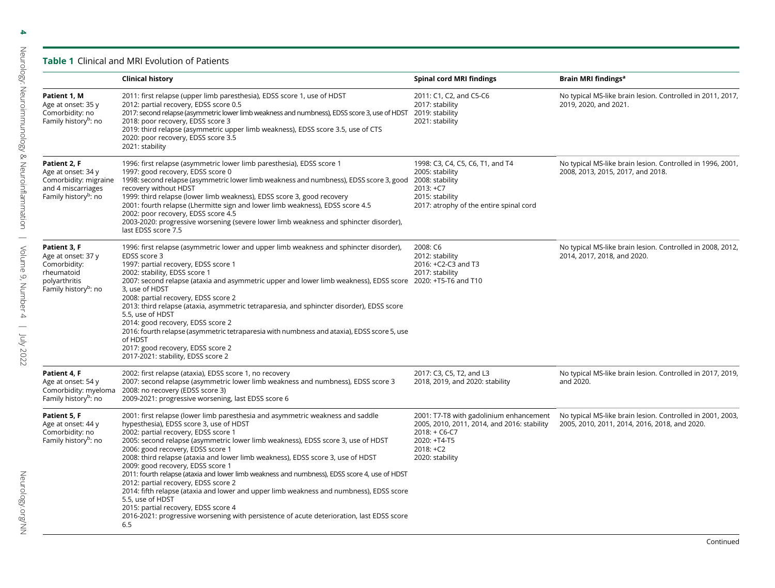### Table 1 Clinical and MRI Evolution of Patients

|                                                                                                                       | <b>Clinical history</b>                                                                                                                                                                                                                                                                                                                                                                                                                                                                                                                                                                                                                                                                                                                                                                                                | Spinal cord MRI findings                                                                                                                                    | Brain MRI findings <sup>a</sup>                                                                             |
|-----------------------------------------------------------------------------------------------------------------------|------------------------------------------------------------------------------------------------------------------------------------------------------------------------------------------------------------------------------------------------------------------------------------------------------------------------------------------------------------------------------------------------------------------------------------------------------------------------------------------------------------------------------------------------------------------------------------------------------------------------------------------------------------------------------------------------------------------------------------------------------------------------------------------------------------------------|-------------------------------------------------------------------------------------------------------------------------------------------------------------|-------------------------------------------------------------------------------------------------------------|
| Patient 1, M<br>Age at onset: 35 y<br>Comorbidity: no<br>Family history <sup>b</sup> : no                             | 2011: first relapse (upper limb paresthesia), EDSS score 1, use of HDST<br>2012: partial recovery, EDSS score 0.5<br>2017: second relapse (asymmetric lower limb weakness and numbness), EDSS score 3, use of HDST<br>2018: poor recovery, EDSS score 3<br>2019: third relapse (asymmetric upper limb weakness), EDSS score 3.5, use of CTS<br>2020: poor recovery, EDSS score 3.5<br>2021: stability                                                                                                                                                                                                                                                                                                                                                                                                                  | 2011: C1, C2, and C5-C6<br>2017: stability<br>2019: stability<br>2021: stability                                                                            | No typical MS-like brain lesion. Controlled in 2011, 2017,<br>2019, 2020, and 2021.                         |
| Patient 2, F<br>Age at onset: 34 y<br>Comorbidity: migraine<br>and 4 miscarriages<br>Family history <sup>b</sup> : no | 1996: first relapse (asymmetric lower limb paresthesia), EDSS score 1<br>1997: good recovery, EDSS score 0<br>1998: second relapse (asymmetric lower limb weakness and numbness), EDSS score 3, good 2008: stability<br>recovery without HDST<br>1999: third relapse (lower limb weakness), EDSS score 3, good recovery<br>2001: fourth relapse (Lhermitte sign and lower limb weakness), EDSS score 4.5<br>2002: poor recovery, EDSS score 4.5<br>2003-2020: progressive worsening (severe lower limb weakness and sphincter disorder),<br>last EDSS score 7.5                                                                                                                                                                                                                                                        | 1998: C3, C4, C5, C6, T1, and T4<br>2005: stability<br>$2013: +C7$<br>2015: stability<br>2017: atrophy of the entire spinal cord                            | No typical MS-like brain lesion. Controlled in 1996, 2001,<br>2008, 2013, 2015, 2017, and 2018.             |
| Patient 3, F<br>Age at onset: 37 y<br>Comorbidity:<br>rheumatoid<br>polyarthritis<br>Family history <sup>b</sup> : no | 1996: first relapse (asymmetric lower and upper limb weakness and sphincter disorder),<br>EDSS score 3<br>1997: partial recovery, EDSS score 1<br>2002: stability, EDSS score 1<br>2007: second relapse (ataxia and asymmetric upper and lower limb weakness), EDSS score 2020: +T5-T6 and T10<br>3, use of HDST<br>2008: partial recovery, EDSS score 2<br>2013: third relapse (ataxia, asymmetric tetraparesia, and sphincter disorder), EDSS score<br>5.5, use of HDST<br>2014: good recovery, EDSS score 2<br>2016: fourth relapse (asymmetric tetraparesia with numbness and ataxia), EDSS score 5, use<br>of HDST<br>2017: good recovery, EDSS score 2<br>2017-2021: stability, EDSS score 2                                                                                                                     | 2008: C6<br>2012: stability<br>2016: +C2-C3 and T3<br>2017: stability                                                                                       | No typical MS-like brain lesion. Controlled in 2008, 2012,<br>2014, 2017, 2018, and 2020.                   |
| Patient 4, F<br>Age at onset: 54 y<br>Comorbidity: myeloma<br>Family history <sup>b</sup> : no                        | 2002: first relapse (ataxia), EDSS score 1, no recovery<br>2007: second relapse (asymmetric lower limb weakness and numbness), EDSS score 3<br>2008: no recovery (EDSS score 3)<br>2009-2021: progressive worsening, last EDSS score 6                                                                                                                                                                                                                                                                                                                                                                                                                                                                                                                                                                                 | 2017: C3, C5, T2, and L3<br>2018, 2019, and 2020: stability                                                                                                 | No typical MS-like brain lesion. Controlled in 2017, 2019,<br>and 2020.                                     |
| Patient 5, F<br>Age at onset: 44 y<br>Comorbidity: no<br>Family history <sup>b</sup> : no                             | 2001: first relapse (lower limb paresthesia and asymmetric weakness and saddle<br>hypesthesia), EDSS score 3, use of HDST<br>2002: partial recovery, EDSS score 1<br>2005: second relapse (asymmetric lower limb weakness), EDSS score 3, use of HDST<br>2006: good recovery, EDSS score 1<br>2008: third relapse (ataxia and lower limb weakness), EDSS score 3, use of HDST<br>2009: good recovery, EDSS score 1<br>2011: fourth relapse (ataxia and lower limb weakness and numbness), EDSS score 4, use of HDST<br>2012: partial recovery, EDSS score 2<br>2014: fifth relapse (ataxia and lower and upper limb weakness and numbness), EDSS score<br>5.5, use of HDST<br>2015: partial recovery, EDSS score 4<br>2016-2021: progressive worsening with persistence of acute deterioration, last EDSS score<br>6.5 | 2001: T7-T8 with gadolinium enhancement<br>2005, 2010, 2011, 2014, and 2016: stability<br>$2018: + C6-C7$<br>2020: +T4-T5<br>$2018: +C2$<br>2020: stability | No typical MS-like brain lesion. Controlled in 2001, 2003,<br>2005, 2010, 2011, 2014, 2016, 2018, and 2020. |

4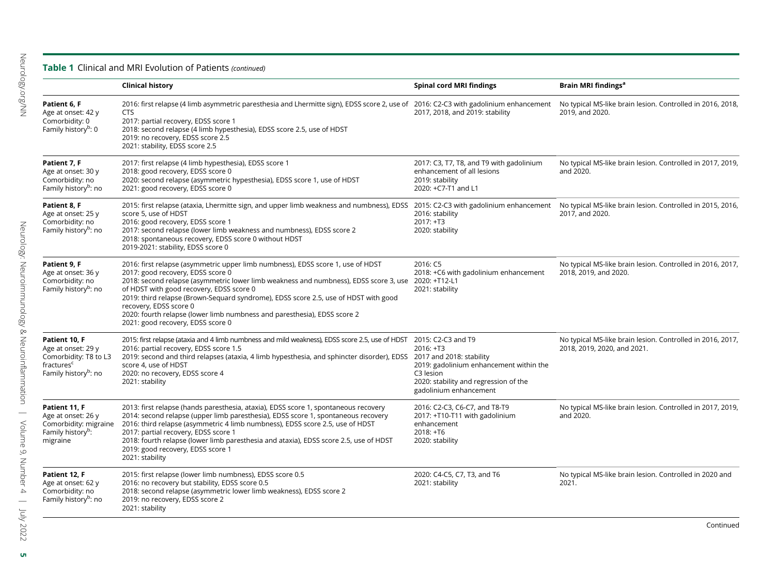### **Table 1** Clinical and MRI Evolution of Patients (continued)

|                                                                                                                            | <b>Clinical history</b>                                                                                                                                                                                                                                                                                                                                                                                                                                                                                   | <b>Spinal cord MRI findings</b>                                                                                                      | Brain MRI findings <sup>a</sup>                                                           |
|----------------------------------------------------------------------------------------------------------------------------|-----------------------------------------------------------------------------------------------------------------------------------------------------------------------------------------------------------------------------------------------------------------------------------------------------------------------------------------------------------------------------------------------------------------------------------------------------------------------------------------------------------|--------------------------------------------------------------------------------------------------------------------------------------|-------------------------------------------------------------------------------------------|
| Patient 6. F<br>Age at onset: 42 y<br>Comorbidity: 0<br>Family history <sup>b</sup> : 0                                    | 2016: first relapse (4 limb asymmetric paresthesia and Lhermitte sign), EDSS score 2, use of 2016: C2-C3 with gadolinium enhancement<br><b>CTS</b><br>2017: partial recovery, EDSS score 1<br>2018: second relapse (4 limb hypesthesia), EDSS score 2.5, use of HDST<br>2019: no recovery, EDSS score 2.5<br>2021: stability, EDSS score 2.5                                                                                                                                                              | 2017, 2018, and 2019: stability                                                                                                      | No typical MS-like brain lesion. Controlled in 2016, 2018,<br>2019, and 2020.             |
| Patient 7, F<br>Age at onset: 30 y<br>Comorbidity: no<br>Family history <sup>b</sup> : no                                  | 2017: first relapse (4 limb hypesthesia), EDSS score 1<br>2018: good recovery, EDSS score 0<br>2020: second relapse (asymmetric hypesthesia), EDSS score 1, use of HDST<br>2021: good recovery, EDSS score 0                                                                                                                                                                                                                                                                                              | 2017: C3, T7, T8, and T9 with gadolinium<br>enhancement of all lesions<br>2019: stability<br>2020: +C7-T1 and L1                     | No typical MS-like brain lesion. Controlled in 2017, 2019,<br>and 2020.                   |
| Patient 8, F<br>Age at onset: 25 y<br>Comorbidity: no<br>Family history <sup>b</sup> : no                                  | 2015: first relapse (ataxia, Lhermitte sign, and upper limb weakness and numbness), EDSS 2015: C2-C3 with gadolinium enhancement<br>score 5, use of HDST<br>2016: good recovery, EDSS score 1<br>2017: second relapse (lower limb weakness and numbness), EDSS score 2<br>2018: spontaneous recovery, EDSS score 0 without HDST<br>2019-2021: stability, EDSS score 0                                                                                                                                     | 2016: stability<br>2017: +T3<br>2020: stability                                                                                      | No typical MS-like brain lesion. Controlled in 2015, 2016,<br>2017, and 2020.             |
| Patient 9, F<br>Age at onset: 36 y<br>Comorbidity: no<br>Family history <sup>b</sup> : no                                  | 2016: first relapse (asymmetric upper limb numbness), EDSS score 1, use of HDST<br>2017: good recovery, EDSS score 0<br>2018: second relapse (asymmetric lower limb weakness and numbness), EDSS score 3, use 2020: +T12-L1<br>of HDST with good recovery, EDSS score 0<br>2019: third relapse (Brown-Sequard syndrome), EDSS score 2.5, use of HDST with good<br>recovery, EDSS score 0<br>2020: fourth relapse (lower limb numbness and paresthesia), EDSS score 2<br>2021: good recovery, EDSS score 0 | 2016: C5<br>2018: +C6 with gadolinium enhancement<br>2021: stability                                                                 | No typical MS-like brain lesion. Controlled in 2016, 2017,<br>2018, 2019, and 2020.       |
| Patient 10, F<br>Age at onset: 29 y<br>Comorbidity: T8 to L3<br>fractures <sup>c</sup><br>Family history <sup>b</sup> : no | 2015: first relapse (ataxia and 4 limb numbness and mild weakness), EDSS score 2.5, use of HDST 2015: C2-C3 and T9<br>2016: partial recovery, EDSS score 1.5<br>2019: second and third relapses (ataxia, 4 limb hypesthesia, and sphincter disorder), EDSS 2017 and 2018: stability<br>score 4, use of HDST<br>2020: no recovery, EDSS score 4<br>2021: stability                                                                                                                                         | 2016: +T3<br>2019: gadolinium enhancement within the<br>C3 lesion<br>2020: stability and regression of the<br>gadolinium enhancement | No typical MS-like brain lesion. Controlled in 2016, 2017,<br>2018, 2019, 2020, and 2021. |
| Patient 11, F<br>Age at onset: 26 y<br>Comorbidity: migraine<br>Family history <sup>b</sup> :<br>migraine                  | 2013: first relapse (hands paresthesia, ataxia), EDSS score 1, spontaneous recovery<br>2014: second relapse (upper limb paresthesia), EDSS score 1, spontaneous recovery<br>2016: third relapse (asymmetric 4 limb numbness), EDSS score 2.5, use of HDST<br>2017: partial recovery, EDSS score 1<br>2018: fourth relapse (lower limb paresthesia and ataxia), EDSS score 2.5, use of HDST<br>2019: good recovery, EDSS score 1<br>2021: stability                                                        | 2016: C2-C3, C6-C7, and T8-T9<br>2017: +T10-T11 with gadolinium<br>enhancement<br>2018: +T6<br>2020: stability                       | No typical MS-like brain lesion. Controlled in 2017, 2019,<br>and 2020.                   |
| Patient 12, F<br>Age at onset: 62 y<br>Comorbidity: no<br>Family history <sup>b</sup> : no                                 | 2015: first relapse (lower limb numbness), EDSS score 0.5<br>2016: no recovery but stability, EDSS score 0.5<br>2018: second relapse (asymmetric lower limb weakness), EDSS score 2<br>2019: no recovery, EDSS score 2<br>2021: stability                                                                                                                                                                                                                                                                 | 2020: C4-C5, C7, T3, and T6<br>2021: stability                                                                                       | No typical MS-like brain lesion. Controlled in 2020 and<br>2021.                          |

 ${\sf dn}$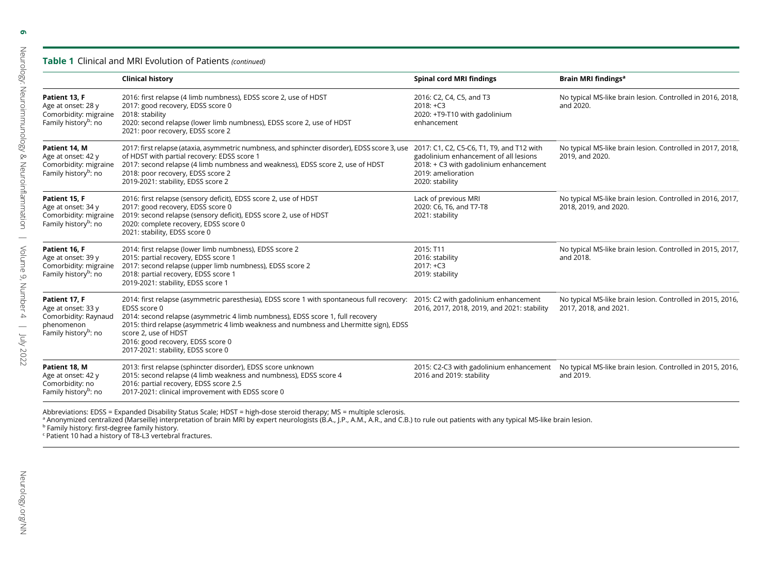### **Table 1** Clinical and MRI Evolution of Patients (continued)

|                                                                                                               | <b>Clinical history</b>                                                                                                                                                                                                                                                                                                                                                                   | <b>Spinal cord MRI findings</b>                                                                                          | Brain MRI findings <sup>a</sup>                                                     |
|---------------------------------------------------------------------------------------------------------------|-------------------------------------------------------------------------------------------------------------------------------------------------------------------------------------------------------------------------------------------------------------------------------------------------------------------------------------------------------------------------------------------|--------------------------------------------------------------------------------------------------------------------------|-------------------------------------------------------------------------------------|
| Patient 13, F<br>Age at onset: 28 y<br>Comorbidity: migraine<br>Family history <sup>b</sup> : no              | 2016: first relapse (4 limb numbness), EDSS score 2, use of HDST<br>2017: good recovery, EDSS score 0<br>2018: stability<br>2020: second relapse (lower limb numbness), EDSS score 2, use of HDST<br>2021: poor recovery, EDSS score 2                                                                                                                                                    | 2016: C2, C4, C5, and T3<br>$2018: +C3$<br>2020: +T9-T10 with gadolinium<br>enhancement                                  | No typical MS-like brain lesion. Controlled in 2016, 2018,<br>and 2020.             |
| Patient 14. M<br>Age at onset: 42 y<br>Comorbidity: migraine<br>Family history <sup>b</sup> : no              | 2017: first relapse (ataxia, asymmetric numbness, and sphincter disorder), EDSS score 3, use 2017: C1, C2, C5-C6, T1, T9, and T12 with<br>of HDST with partial recovery: EDSS score 1<br>2017: second relapse (4 limb numbness and weakness), EDSS score 2, use of HDST<br>2018: poor recovery, EDSS score 2<br>2019-2021: stability, EDSS score 2                                        | gadolinium enhancement of all lesions<br>2018: + C3 with gadolinium enhancement<br>2019: amelioration<br>2020: stability | No typical MS-like brain lesion. Controlled in 2017, 2018,<br>2019, and 2020.       |
| Patient 15. F<br>Age at onset: 34 y<br>Comorbidity: migraine<br>Family history <sup>b</sup> : no              | 2016: first relapse (sensory deficit), EDSS score 2, use of HDST<br>2017: good recovery, EDSS score 0<br>2019: second relapse (sensory deficit), EDSS score 2, use of HDST<br>2020: complete recovery, EDSS score 0<br>2021: stability, EDSS score 0                                                                                                                                      | Lack of previous MRI<br>2020: C6, T6, and T7-T8<br>2021: stability                                                       | No typical MS-like brain lesion. Controlled in 2016, 2017,<br>2018, 2019, and 2020. |
| Patient 16. F<br>Age at onset: 39 y<br>Comorbidity: migraine<br>Family history <sup>b</sup> : no              | 2014: first relapse (lower limb numbness), EDSS score 2<br>2015: partial recovery, EDSS score 1<br>2017: second relapse (upper limb numbness), EDSS score 2<br>2018: partial recovery, EDSS score 1<br>2019-2021: stability, EDSS score 1                                                                                                                                                 | 2015: T11<br>2016: stability<br>$2017: +C3$<br>2019: stability                                                           | No typical MS-like brain lesion. Controlled in 2015, 2017,<br>and 2018.             |
| Patient 17, F<br>Age at onset: 33 y<br>Comorbidity: Raynaud<br>phenomenon<br>Family history <sup>b</sup> : no | 2014: first relapse (asymmetric paresthesia), EDSS score 1 with spontaneous full recovery:<br>EDSS score 0<br>2014: second relapse (asymmetric 4 limb numbness), EDSS score 1, full recovery<br>2015: third relapse (asymmetric 4 limb weakness and numbness and Lhermitte sign), EDSS<br>score 2, use of HDST<br>2016: good recovery, EDSS score 0<br>2017-2021: stability, EDSS score 0 | 2015: C2 with gadolinium enhancement<br>2016, 2017, 2018, 2019, and 2021: stability                                      | No typical MS-like brain lesion. Controlled in 2015, 2016,<br>2017, 2018, and 2021. |
| Patient 18. M<br>Age at onset: 42 y<br>Comorbidity: no<br>Family history <sup>b</sup> : no                    | 2013: first relapse (sphincter disorder), EDSS score unknown<br>2015: second relapse (4 limb weakness and numbness), EDSS score 4<br>2016: partial recovery, EDSS score 2.5<br>2017-2021: clinical improvement with EDSS score 0                                                                                                                                                          | 2015: C2-C3 with gadolinium enhancement<br>2016 and 2019: stability                                                      | No typical MS-like brain lesion. Controlled in 2015, 2016,<br>and 2019.             |

Abbreviations: EDSS = Expanded Disability Status Scale; HDST = high-dose steroid therapy; MS = multiple sclerosis.<br>ª Anonymized centralized (Marseille) interpretation of brain MRI by expert neurologists (B.A., J.P., A.M.,

Neurology: Neuroimmunology & Neuroinflammation |

Volume 9, Number 4 | July 2022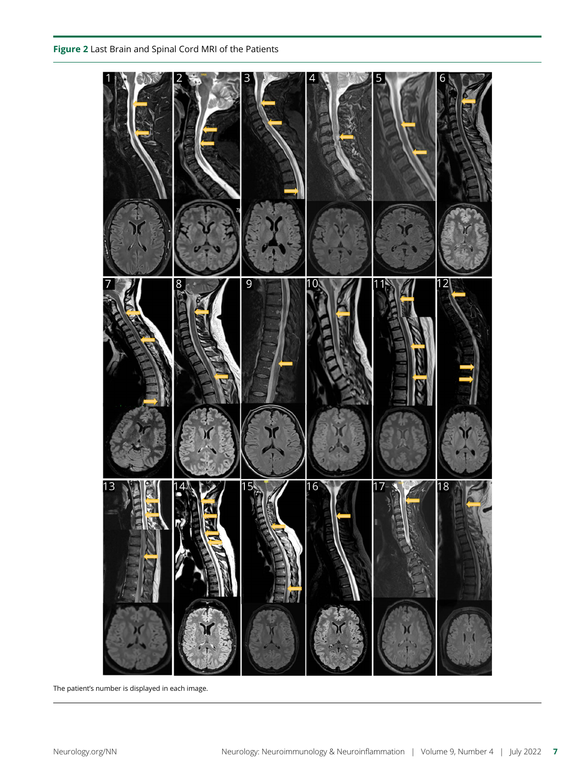

The patient's number is displayed in each image.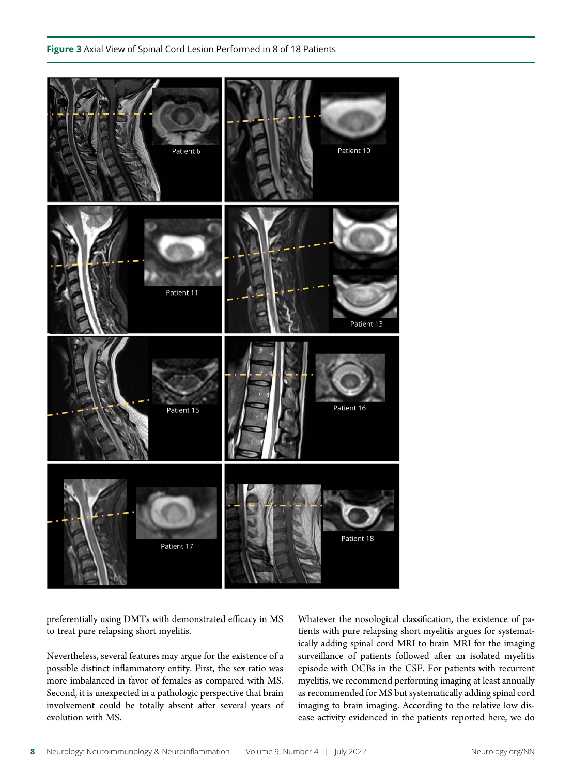

preferentially using DMTs with demonstrated efficacy in MS to treat pure relapsing short myelitis.

Nevertheless, several features may argue for the existence of a possible distinct inflammatory entity. First, the sex ratio was more imbalanced in favor of females as compared with MS. Second, it is unexpected in a pathologic perspective that brain involvement could be totally absent after several years of evolution with MS.

Whatever the nosological classification, the existence of patients with pure relapsing short myelitis argues for systematically adding spinal cord MRI to brain MRI for the imaging surveillance of patients followed after an isolated myelitis episode with OCBs in the CSF. For patients with recurrent myelitis, we recommend performing imaging at least annually as recommended for MS but systematically adding spinal cord imaging to brain imaging. According to the relative low disease activity evidenced in the patients reported here, we do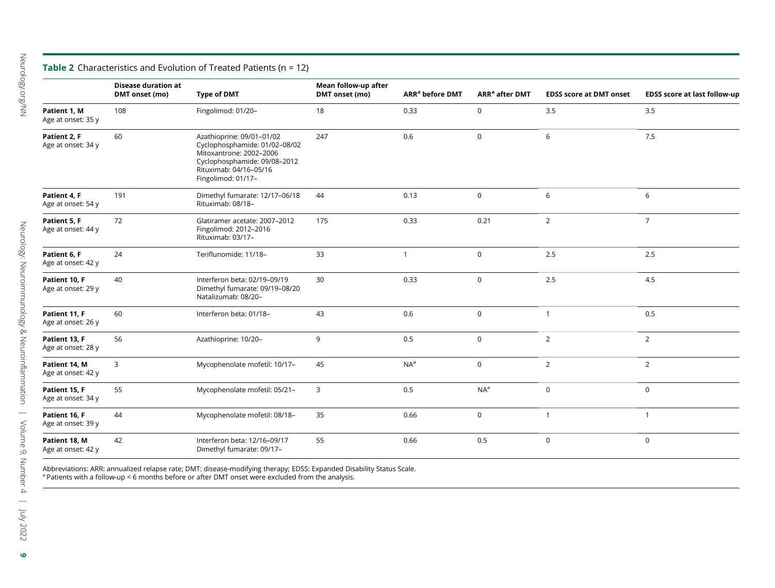### **Table 2** Characteristics and Evolution of Treated Patients (n = 12)

|                                     | <b>Disease duration at</b><br>DMT onset (mo) | <b>Type of DMT</b>                                                                                                                                                    | Mean follow-up after<br>DMT onset (mo) | ARR <sup>a</sup> before DMT | ARR <sup>a</sup> after DMT | <b>EDSS score at DMT onset</b> | <b>EDSS score at last follow-up</b> |
|-------------------------------------|----------------------------------------------|-----------------------------------------------------------------------------------------------------------------------------------------------------------------------|----------------------------------------|-----------------------------|----------------------------|--------------------------------|-------------------------------------|
| Patient 1, M<br>Age at onset: 35 y  | 108                                          | Fingolimod: 01/20-                                                                                                                                                    | 18                                     | 0.33                        | $\mathsf{O}$               | 3.5                            | 3.5                                 |
| Patient 2, F<br>Age at onset: 34 y  | 60                                           | Azathioprine: 09/01-01/02<br>Cyclophosphamide: 01/02-08/02<br>Mitoxantrone: 2002-2006<br>Cyclophosphamide: 09/08-2012<br>Rituximab: 04/16-05/16<br>Fingolimod: 01/17- | 247                                    | 0.6                         | $\mathbf 0$                | 6                              | 7.5                                 |
| Patient 4, F<br>Age at onset: 54 y  | 191                                          | Dimethyl fumarate: 12/17-06/18<br>Rituximab: 08/18-                                                                                                                   | 44                                     | 0.13                        | $\mathsf{O}$               | 6                              | 6                                   |
| Patient 5. F<br>Age at onset: 44 y  | 72                                           | Glatiramer acetate: 2007-2012<br>Fingolimod: 2012-2016<br>Rituximab: 03/17-                                                                                           | 175                                    | 0.33                        | 0.21                       | $\overline{2}$                 | $\overline{7}$                      |
| Patient 6, F<br>Age at onset: 42 y  | 24                                           | Teriflunomide: 11/18-                                                                                                                                                 | 33                                     | $\mathbf{1}$                | $\mathbf 0$                | 2.5                            | 2.5                                 |
| Patient 10, F<br>Age at onset: 29 y | 40                                           | Interferon beta: 02/19-09/19<br>Dimethyl fumarate: 09/19-08/20<br>Natalizumab: 08/20-                                                                                 | 30                                     | 0.33                        | $\mathsf{O}$               | 2.5                            | 4.5                                 |
| Patient 11, F<br>Age at onset: 26 y | 60                                           | Interferon beta: 01/18-                                                                                                                                               | 43                                     | 0.6                         | $\mathbf 0$                | $\mathbf{1}$                   | 0.5                                 |
| Patient 13, F<br>Age at onset: 28 y | 56                                           | Azathioprine: 10/20-                                                                                                                                                  | 9                                      | 0.5                         | $\mathbf 0$                | $\overline{2}$                 | $\overline{2}$                      |
| Patient 14, M<br>Age at onset: 42 y | 3                                            | Mycophenolate mofetil: 10/17-                                                                                                                                         | 45                                     | NA <sup>a</sup>             | $\mathsf{O}$               | $\overline{2}$                 | $\overline{2}$                      |
| Patient 15. F<br>Age at onset: 34 y | 55                                           | Mycophenolate mofetil: 05/21-                                                                                                                                         | 3                                      | 0.5                         | NA <sup>a</sup>            | $\mathbf 0$                    | $\mathbf 0$                         |
| Patient 16, F<br>Age at onset: 39 y | 44                                           | Mycophenolate mofetil: 08/18-                                                                                                                                         | 35                                     | 0.66                        | $\mathsf{O}$               | $\mathbf{1}$                   | $\overline{1}$                      |
| Patient 18, M<br>Age at onset: 42 y | 42                                           | Interferon beta: 12/16-09/17<br>Dimethyl fumarate: 09/17-                                                                                                             | 55                                     | 0.66                        | 0.5                        | $\mathbf 0$                    | $\mathbf 0$                         |

Abbreviations: ARR: annualized relapse rate; DMT: disease-modifying therapy; EDSS: Expanded Disability Status Scale.<br>ª Patients with a follow-up < 6 months before or after DMT onset were excluded from the analysis.

9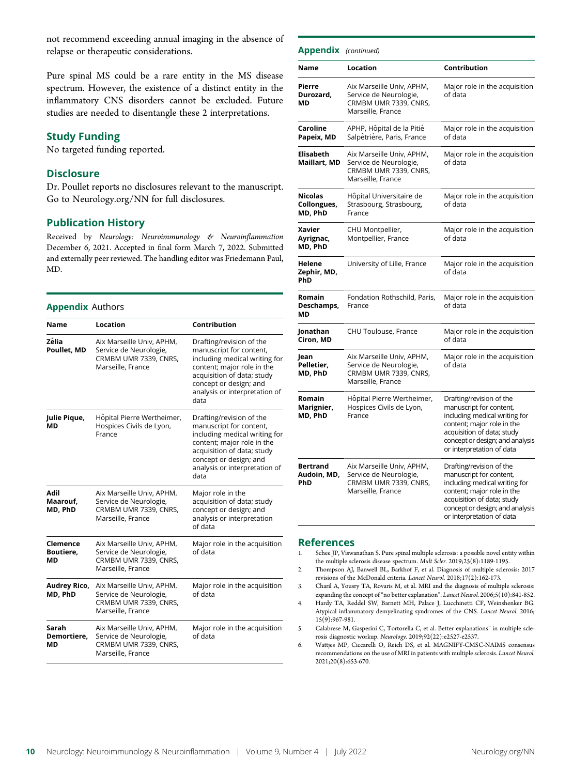not recommend exceeding annual imaging in the absence of relapse or therapeutic considerations.

Pure spinal MS could be a rare entity in the MS disease spectrum. However, the existence of a distinct entity in the inflammatory CNS disorders cannot be excluded. Future studies are needed to disentangle these 2 interpretations.

### Study Funding

No targeted funding reported.

### **Disclosure**

Dr. Poullet reports no disclosures relevant to the manuscript. Go to [Neurology.org/NN](https://nn.neurology.org/content/9/4/e167/tab-article-info) for full disclosures.

### Publication History

Received by Neurology: Neuroimmunology & Neuroinflammation December 6, 2021. Accepted in final form March 7, 2022. Submitted and externally peer reviewed. The handling editor was Friedemann Paul, MD.

### **Appendix Authors**

| Name                                                                                                                                        | Location                                                                                                                                      | Contribution                                                                                                                                                                                                        |
|---------------------------------------------------------------------------------------------------------------------------------------------|-----------------------------------------------------------------------------------------------------------------------------------------------|---------------------------------------------------------------------------------------------------------------------------------------------------------------------------------------------------------------------|
| Zélia<br>Poullet, MD                                                                                                                        | Aix Marseille Univ, APHM,<br>Service de Neurologie,<br>CRMBM UMR 7339, CNRS,<br>Marseille, France                                             | Drafting/revision of the<br>manuscript for content,<br>including medical writing for<br>content; major role in the<br>acquisition of data; study<br>concept or design; and<br>analysis or interpretation of<br>data |
| Julie Pique,<br>МD                                                                                                                          | Hôpital Pierre Wertheimer,<br>Hospices Civils de Lyon,<br>France                                                                              | Drafting/revision of the<br>manuscript for content,<br>including medical writing for<br>content; major role in the<br>acquisition of data; study<br>concept or design; and<br>analysis or interpretation of<br>data |
| Adil<br>Aix Marseille Univ, APHM,<br>Maarouf,<br>Service de Neurologie,<br>MD, PhD<br>CRMBM UMR 7339, CNRS,<br>Marseille, France<br>of data |                                                                                                                                               | Major role in the<br>acquisition of data; study<br>concept or design; and<br>analysis or interpretation                                                                                                             |
| Clemence<br>Aix Marseille Univ, APHM,<br>Boutiere,<br>Service de Neurologie,<br>CRMBM UMR 7339, CNRS.<br>МD<br>Marseille, France            |                                                                                                                                               | Major role in the acquisition<br>of data                                                                                                                                                                            |
| Audrey Rico,<br>Aix Marseille Univ, APHM,<br>MD, PhD<br>Service de Neurologie,<br>CRMBM UMR 7339, CNRS,<br>Marseille, France                |                                                                                                                                               | Major role in the acquisition<br>of data                                                                                                                                                                            |
| Sarah<br>Demortiere,<br>МD                                                                                                                  | Aix Marseille Univ, APHM,<br>Major role in the acquisition<br>of data<br>Service de Neurologie,<br>CRMBM UMR 7339, CNRS,<br>Marseille, France |                                                                                                                                                                                                                     |

| <b>Appendix</b> (continued)       |                                                                                                   |                                                                                                                                                                                                                  |
|-----------------------------------|---------------------------------------------------------------------------------------------------|------------------------------------------------------------------------------------------------------------------------------------------------------------------------------------------------------------------|
| Name                              | Location                                                                                          | Contribution                                                                                                                                                                                                     |
| Pierre<br>Durozard,<br>МD         | Aix Marseille Univ, APHM,<br>Service de Neurologie,<br>CRMBM UMR 7339, CNRS,<br>Marseille, France | Major role in the acquisition<br>of data                                                                                                                                                                         |
| Caroline<br>Papeix, MD            | APHP, Hôpital de la Pitié<br>Salpêtrière, Paris, France                                           | Major role in the acquisition<br>of data                                                                                                                                                                         |
| <b>Elisabeth</b><br>Maillart, MD  | Aix Marseille Univ, APHM,<br>Service de Neurologie,<br>CRMBM UMR 7339, CNRS,<br>Marseille, France | Major role in the acquisition<br>of data                                                                                                                                                                         |
| Nicolas<br>Collongues,<br>MD, PhD | Hôpital Universitaire de<br>Strasbourg, Strasbourg,<br>France                                     | Major role in the acquisition<br>of data                                                                                                                                                                         |
| Xavier<br>Ayrignac,<br>MD, PhD    | CHU Montpellier,<br>Montpellier, France                                                           | Major role in the acquisition<br>of data                                                                                                                                                                         |
| Helene<br>Zephir, MD,<br>PhD      | University of Lille, France                                                                       | Major role in the acquisition<br>of data                                                                                                                                                                         |
| Romain<br>Deschamps,<br>MD        | Fondation Rothschild, Paris,<br>France                                                            | Major role in the acquisition<br>of data                                                                                                                                                                         |
| Jonathan<br>Ciron, MD             | CHU Toulouse, France                                                                              | Major role in the acquisition<br>of data                                                                                                                                                                         |
| Jean<br>Pelletier,<br>MD, PhD     | Aix Marseille Univ, APHM,<br>Service de Neurologie,<br>CRMBM UMR 7339, CNRS,<br>Marseille, France | Major role in the acquisition<br>of data                                                                                                                                                                         |
| Romain<br>Marignier,<br>MD, PhD   | Hôpital Pierre Wertheimer,<br>Hospices Civils de Lyon,<br>France                                  | Drafting/revision of the<br>manuscript for content,<br>including medical writing for<br>content; major role in the<br>acquisition of data; study<br>concept or design; and analysis<br>or interpretation of data |
| Bertrand<br>Audoin, MD,<br>PhD    | Aix Marseille Univ, APHM,<br>Service de Neurologie,<br>CRMBM UMR 7339, CNRS,<br>Marseille, France | Drafting/revision of the<br>manuscript for content,<br>including medical writing for<br>content; major role in the<br>acquisition of data; study<br>concept or design; and analysis<br>or interpretation of data |

### References

- 1. Schee JP, Viswanathan S. Pure spinal multiple sclerosis: a possible novel entity within the multiple sclerosis disease spectrum. Mult Scler. 2019;25(8):1189-1195.
- 2. Thompson AJ, Banwell BL, Barkhof F, et al. Diagnosis of multiple sclerosis: 2017 revisions of the McDonald criteria. Lancet Neurol. 2018;17(2):162-173.
- 3. Charil A, Yousry TA, Rovaris M, et al. MRI and the diagnosis of multiple sclerosis:<br>expanding the concept of "no better explanation". *Lancet Neurol*. 2006;5(10):841-852.
- expanding the concept of "no better explanation". Lancet Neurol. 2006;5(10):841-852.<br>4. Hardy TA, Reddel SW, Barnett MH, Palace J, Lucchinetti CF, Weinshenker BG. Atypical inflammatory demyelinating syndromes of the CNS. Lancet Neurol. 2016; 15(9):967-981.
- 5. Calabrese M, Gasperini C, Tortorella C, et al. Better explanations" in multiple sclerosis diagnostic workup. Neurology. 2019;92(22):e2527-e2537.
- 6. Wattjes MP, Ciccarelli O, Reich DS, et al. MAGNIFY-CMSC-NAIMS consensus recommendations on the use of MRI in patients with multiple sclerosis. Lancet Neurol. 2021;20(8):653-670.